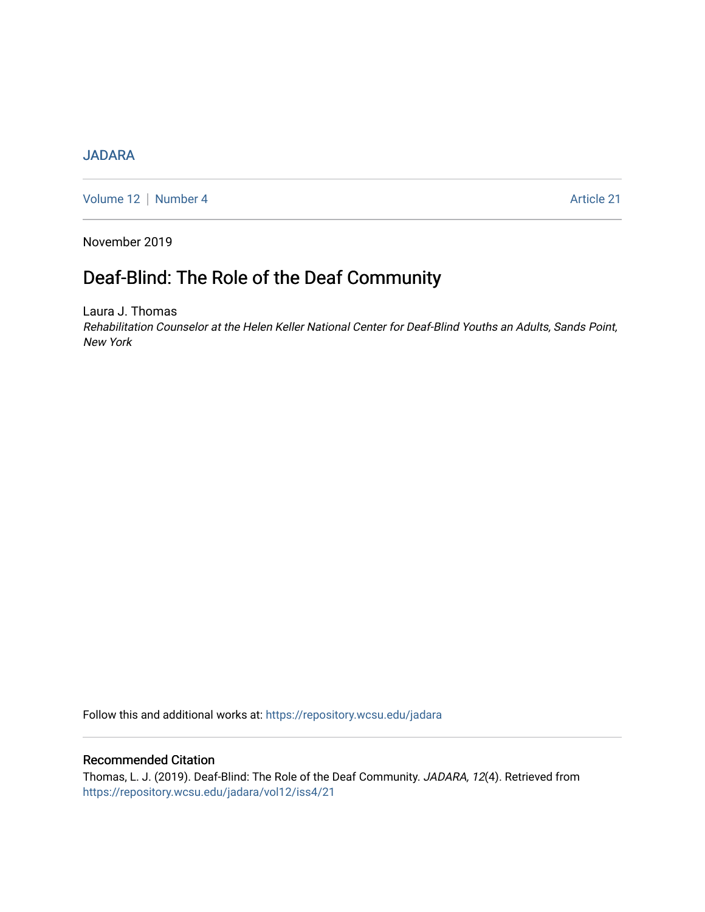## [JADARA](https://repository.wcsu.edu/jadara)

[Volume 12](https://repository.wcsu.edu/jadara/vol12) | [Number 4](https://repository.wcsu.edu/jadara/vol12/iss4) Article 21

November 2019

# Deaf-Blind: The Role of the Deaf Community

Laura J. Thomas Rehabilitation Counselor at the Helen Keller National Center for Deaf-Blind Youths an Adults, Sands Point, New York

Follow this and additional works at: [https://repository.wcsu.edu/jadara](https://repository.wcsu.edu/jadara?utm_source=repository.wcsu.edu%2Fjadara%2Fvol12%2Fiss4%2F21&utm_medium=PDF&utm_campaign=PDFCoverPages)

### Recommended Citation

Thomas, L. J. (2019). Deaf-Blind: The Role of the Deaf Community. JADARA, 12(4). Retrieved from [https://repository.wcsu.edu/jadara/vol12/iss4/21](https://repository.wcsu.edu/jadara/vol12/iss4/21?utm_source=repository.wcsu.edu%2Fjadara%2Fvol12%2Fiss4%2F21&utm_medium=PDF&utm_campaign=PDFCoverPages)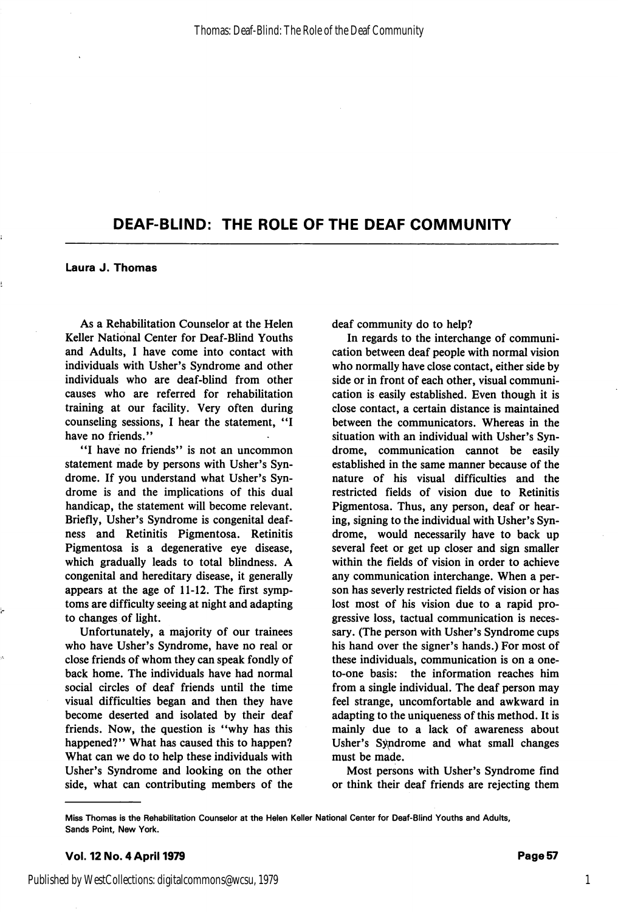## DEAF-BLIND: THE ROLE OF THE DEAF COMMUNITY

Laura J. Thomas

As a Rehabilitation Counselor at the Helen Keller National Center for Deaf-Blind Youths and Adults, I have come into contact with individuals with Usher's Syndrome and other individuals who are deaf-blind from other causes who are referred for rehabilitation training at our facility. Very often during counseling sessions, I hear the statement, have no friends."

"I have no friends" is not an uncommon statement made by persons with Usher's Syn drome. If you understand what Usher's Syn drome is and the implications of this dual handicap, the statement will become relevant. Briefly, Usher's Syndrome is congenital deaf ness and Retinitis Pigmentosa. Retinitis Pigmentosa is a degenerative eye disease, which gradually leads to total blindness. A congenital and hereditary disease, it generally appears at the age of 11-12. The first symp toms are difficulty seeing at night and adapting to changes of light.

Unfortunately, a majority of our trainees who have Usher's Syndrome, have no real or close friends of whom they can speak fondly of back home. The individuals have had normal social circles of deaf friends until the time visual difficulties began and then they have become deserted and isolated by their deaf friends. Now, the question is "why has this happened?" What has caused this to happen? What can we do to help these individuals with Usher's Syndrome and looking on the other side, what can contributing members of the

deaf community do to help?

In regards to the interchange of communi cation between deaf people with normal vision who normally have close contact, either side by side or in front of each other, visual communi cation is easily established. Even though it is close contact, a certain distance is maintained between the communicators. Whereas in the situation with an individual with Usher's Syn drome, communication cannot be easily established in the same manner because of the nature of his visual difficulties and the restricted fields of vision due to Retinitis Pigmentosa. Thus, any person, deaf or hear ing, signing to the individual with Usher's Syn drome, would necessarily have to back up several feet or get up closer and sign smaller within the fields of vision in order to achieve any communication interchange. When a per son has severly restricted fields of vision or has lost most of his vision due to a rapid pro gressive loss, tactual communication is neces sary. (The person with Usher's Syndrome cups his hand over the signer's hands.) For most of these individuals, communication is on a oneto-one basis: the information reaches him from a single individual. The deaf person may feel strange, uncomfortable and awkward in adapting to the uniqueness of this method. It is mainly due to a lack of awareness about Usher's Syndrome and what small changes must be made.

Most persons with Usher's Syndrome find or think their deaf friends are rejecting them

Miss Thomas is the Rehabilitation Counselor at the Helen Keller National Center for Deaf-Blind Youths and Adults, Sands Point, New York.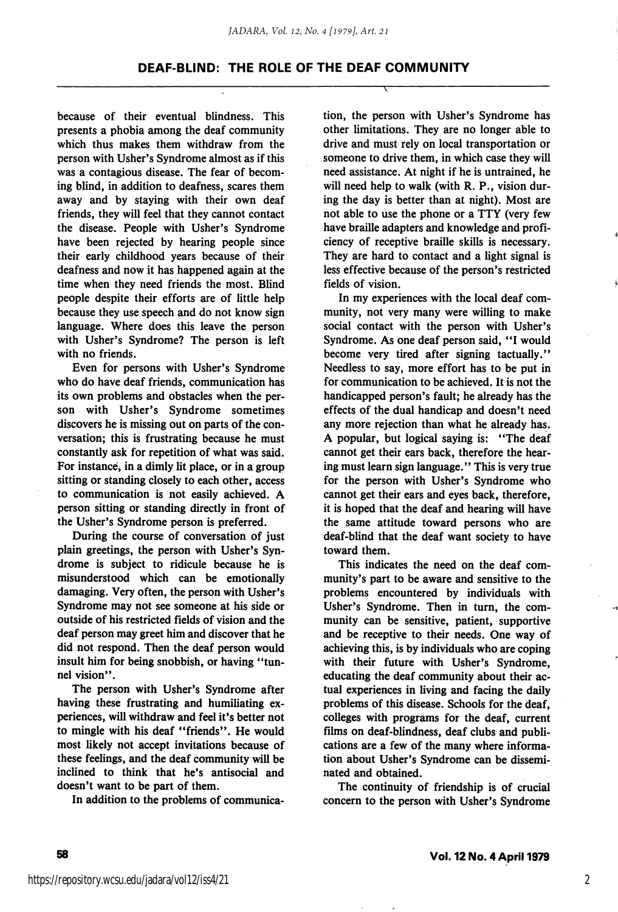#### DEAF-BLIND: THE ROLE OF THE DEAF COMMUNITY

because of their eventual blindness. This presents a phobia among the deaf community which thus makes them withdraw from the person with Usher's Syndrome almost as if this was a contagious disease. The fear of becom ing blind, in addition to deafness, scares them away and by staying with their own deaf friends, they will feel that they cannot contact the disease. People with Usher's Syndrome have been rejected by hearing people since their early childhood years because of their deafness and now it has happened again at the time when they need friends the most. Blind people despite their efforts are of little help because they use speech and do not know sign language. Where does this leave the person with Usher's Syndrome? The person is left with no friends.

Even for persons with Usher's Syndrome who do have deaf friends, communication has its own problems and obstacles when the per son with Usher's Syndrome sometimes discovers he is missing out on parts of the con versation; this is frustrating because he must constantly ask for repetition of what was said. For instance, in a dimly lit place, or in a group sitting or standing closely to each other, access to communication is not easily achieved. A person sitting or standing directly in front of the Usher's Syndrome person is preferred.

During the course of conversation of just plain greetings, the person with Usher's Syn drome is subject to ridicule because he is misunderstood which can be emotionally damaging. Very often, the person with Usher's Syndrome may not see someone at his side or outside of his restricted fields of vision and the deaf person may greet him and discover that he did not respond. Then the deaf person would insult him for being snobbish, or having "tunnel vision".

The person with Usher's Syndrome after having these frustrating and humiliating ex periences, will withdraw and feel it's better not to mingle with his deaf "friends". He would most likely not accept invitations because of these feelings, and the deaf community will be inclined to think that he's antisocial and doesn't want to be part of them.

In addition to the problems of communica

tion, the person with Usher's Syndrome has other limitations. They are no longer able to drive and must rely on local transportation or someone to drive them, in which case they will need assistance. At night if he is untrained, he will need help to walk (with R. P., vision dur ing the day is better than at night). Most are not able to use the phone or a TTY (very few have braille adapters and knowledge and profi ciency of receptive braille skills is necessary. They are hard to contact and a light signal is less effective because of the person's restricted fields of vision.

In my experiences with the local deaf com munity, not very many were willing to make social contact with the person with Usher's Syndrome. As one deaf person said, "I would become very tired after signing tactually." Needless to say, more effort has to be put in for communication to be achieved. It is not the handicapped person's fault; he already has the effects of the dual handicap and doesn't need any more rejection than what he already has. A popular, but logical saying is: "The deaf cannot get their ears back, therefore the hear ing must learn sign language." This is very true for the person with Usher's Syndrome who cannot get their ears and eyes back, therefore, it is hoped that the deaf and hearing will have the same attitude toward persons who are deaf-blind that the deaf want society to have toward them.

This indicates the need on the deaf com munity's part to be aware and sensitive to the problems encountered by individuals with Usher's Syndrome. Then in turn, the com munity can be sensitive, patient, supportive and be receptive to their needs. One way of achieving this, is by individuals who are coping with their future with Usher's Syndrome, educating the deaf community about their actual experiences in living and facing the daily problems of this disease. Schools for the deaf, colleges with programs for the deaf, current films on deaf-blindness, deaf clubs and publi cations are a few of the many where informa tion about Usher's Syndrome can be dissemi nated and obtained.

The continuity of friendship is of crucial concern to the person with Usher's Syndrome